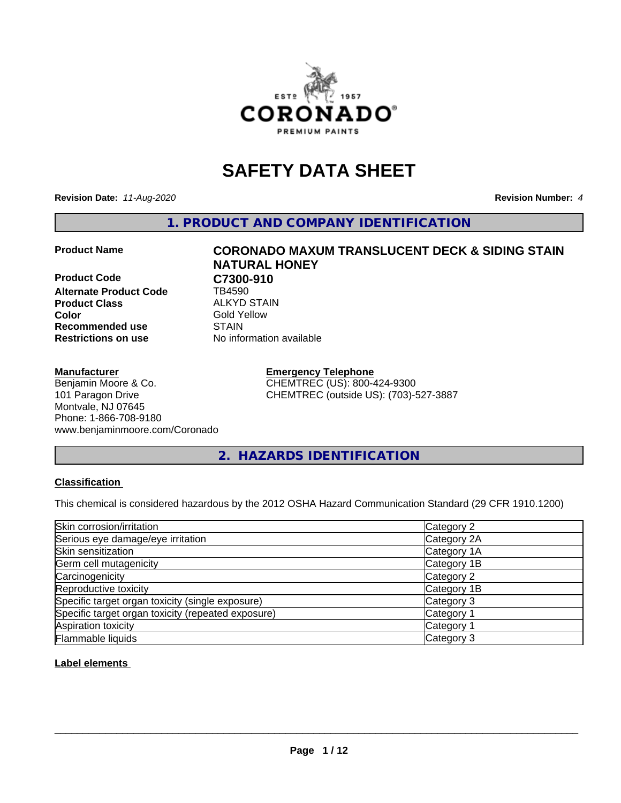

## **SAFETY DATA SHEET**

**Revision Date:** *11-Aug-2020* **Revision Number:** *4*

**1. PRODUCT AND COMPANY IDENTIFICATION**

**Product Code C7300-910**<br>Alternate Product Code **CR4590 Alternate Product Code Product Class** ALKYD STAIN<br> **Color** Gold Yellow **Recommended use STAIN Restrictions on use** No information available

#### **Manufacturer**

Benjamin Moore & Co. 101 Paragon Drive Montvale, NJ 07645 Phone: 1-866-708-9180 www.benjaminmoore.com/Coronado

# **Product Name CORONADO MAXUM TRANSLUCENT DECK & SIDING STAIN NATURAL HONEY Gold Yellow**

**Emergency Telephone** CHEMTREC (US): 800-424-9300 CHEMTREC (outside US): (703)-527-3887

**2. HAZARDS IDENTIFICATION**

#### **Classification**

This chemical is considered hazardous by the 2012 OSHA Hazard Communication Standard (29 CFR 1910.1200)

| Skin corrosion/irritation                          | Category 2            |
|----------------------------------------------------|-----------------------|
| Serious eye damage/eye irritation                  | Category 2A           |
| Skin sensitization                                 | Category 1A           |
| Germ cell mutagenicity                             | Category 1B           |
| Carcinogenicity                                    | Category 2            |
| Reproductive toxicity                              | Category 1B           |
| Specific target organ toxicity (single exposure)   | Category 3            |
| Specific target organ toxicity (repeated exposure) | Category <sup>-</sup> |
| Aspiration toxicity                                | Category 1            |
| Flammable liquids                                  | Category 3            |

#### **Label elements**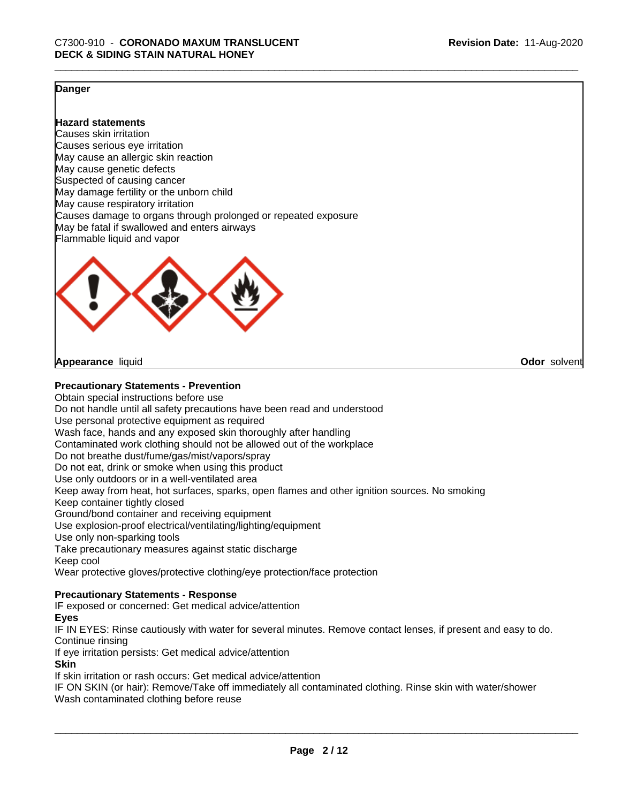**Odor** solvent

#### **Danger**

**Hazard statements**

Causes skin irritation Causes serious eye irritation May cause an allergic skin reaction May cause genetic defects Suspected of causing cancer May damage fertility or the unborn child May cause respiratory irritation Causes damage to organs through prolonged or repeated exposure May be fatal if swallowed and enters airways Flammable liquid and vapor



**Appearance** liquid

#### **Precautionary Statements - Prevention**

Obtain special instructions before use Do not handle until all safety precautions have been read and understood Use personal protective equipment as required Wash face, hands and any exposed skin thoroughly after handling Contaminated work clothing should not be allowed out of the workplace Do not breathe dust/fume/gas/mist/vapors/spray Do not eat, drink or smoke when using this product Use only outdoors or in a well-ventilated area Keep away from heat, hot surfaces, sparks, open flames and other ignition sources. No smoking Keep container tightly closed Ground/bond container and receiving equipment Use explosion-proof electrical/ventilating/lighting/equipment Use only non-sparking tools Take precautionary measures against static discharge Keep cool Wear protective gloves/protective clothing/eye protection/face protection

#### **Precautionary Statements - Response**

IF exposed or concerned: Get medical advice/attention

#### **Eyes**

IF IN EYES: Rinse cautiously with water for several minutes. Remove contact lenses, if present and easy to do. Continue rinsing

If eye irritation persists: Get medical advice/attention

#### **Skin**

If skin irritation or rash occurs: Get medical advice/attention

IF ON SKIN (or hair): Remove/Take off immediately all contaminated clothing. Rinse skin with water/shower Wash contaminated clothing before reuse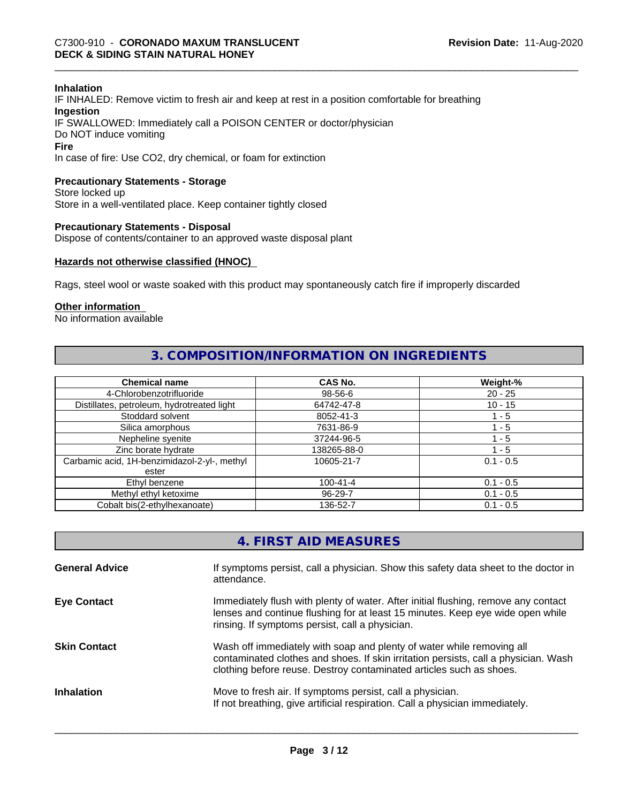#### **Inhalation**

IF INHALED: Remove victim to fresh air and keep at rest in a position comfortable for breathing **Ingestion** IF SWALLOWED: Immediately call a POISON CENTER or doctor/physician Do NOT induce vomiting **Fire**

In case of fire: Use CO2, dry chemical, or foam for extinction

#### **Precautionary Statements - Storage**

Store locked up Store in a well-ventilated place. Keep container tightly closed

#### **Precautionary Statements - Disposal**

Dispose of contents/container to an approved waste disposal plant

#### **Hazards not otherwise classified (HNOC)**

Rags, steel wool or waste soaked with this product may spontaneously catch fire if improperly discarded

#### **Other information**

No information available

#### **3. COMPOSITION/INFORMATION ON INGREDIENTS**

| <b>Chemical name</b>                         | <b>CAS No.</b> | Weight-%    |
|----------------------------------------------|----------------|-------------|
| 4-Chlorobenzotrifluoride                     | 98-56-6        | $20 - 25$   |
| Distillates, petroleum, hydrotreated light   | 64742-47-8     | $10 - 15$   |
| Stoddard solvent                             | 8052-41-3      | 1 - 5       |
| Silica amorphous                             | 7631-86-9      | 1 - 5       |
| Nepheline syenite                            | 37244-96-5     | $-5$        |
| Zinc borate hydrate                          | 138265-88-0    | 1 - 5       |
| Carbamic acid, 1H-benzimidazol-2-yl-, methyl | 10605-21-7     | $0.1 - 0.5$ |
| ester                                        |                |             |
| Ethyl benzene                                | $100 - 41 - 4$ | $0.1 - 0.5$ |
| Methyl ethyl ketoxime                        | 96-29-7        | $0.1 - 0.5$ |
| Cobalt bis(2-ethylhexanoate)                 | 136-52-7       | $0.1 - 0.5$ |

| 4. FIRST AID MEASURES |  |
|-----------------------|--|
|-----------------------|--|

| <b>General Advice</b> | If symptoms persist, call a physician. Show this safety data sheet to the doctor in<br>attendance.                                                                                                                                  |
|-----------------------|-------------------------------------------------------------------------------------------------------------------------------------------------------------------------------------------------------------------------------------|
| <b>Eye Contact</b>    | Immediately flush with plenty of water. After initial flushing, remove any contact<br>lenses and continue flushing for at least 15 minutes. Keep eye wide open while<br>rinsing. If symptoms persist, call a physician.             |
| <b>Skin Contact</b>   | Wash off immediately with soap and plenty of water while removing all<br>contaminated clothes and shoes. If skin irritation persists, call a physician. Wash<br>clothing before reuse. Destroy contaminated articles such as shoes. |
| <b>Inhalation</b>     | Move to fresh air. If symptoms persist, call a physician.<br>If not breathing, give artificial respiration. Call a physician immediately.                                                                                           |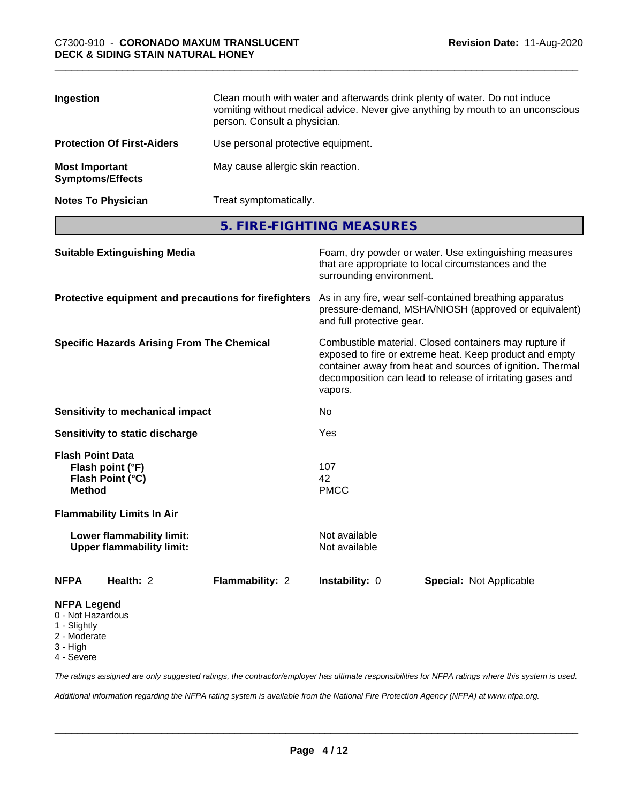| Ingestion                                        | Clean mouth with water and afterwards drink plenty of water. Do not induce<br>vomiting without medical advice. Never give anything by mouth to an unconscious<br>person. Consult a physician. |
|--------------------------------------------------|-----------------------------------------------------------------------------------------------------------------------------------------------------------------------------------------------|
| <b>Protection Of First-Aiders</b>                | Use personal protective equipment.                                                                                                                                                            |
| <b>Most Important</b><br><b>Symptoms/Effects</b> | May cause allergic skin reaction.                                                                                                                                                             |
| <b>Notes To Physician</b>                        | Treat symptomatically.                                                                                                                                                                        |

**5. FIRE-FIGHTING MEASURES**

| <b>Suitable Extinguishing Media</b>                                                 | Foam, dry powder or water. Use extinguishing measures<br>that are appropriate to local circumstances and the<br>surrounding environment.<br>As in any fire, wear self-contained breathing apparatus<br>pressure-demand, MSHA/NIOSH (approved or equivalent)<br>and full protective gear.<br>Combustible material. Closed containers may rupture if<br>exposed to fire or extreme heat. Keep product and empty<br>container away from heat and sources of ignition. Thermal<br>decomposition can lead to release of irritating gases and<br>vapors. |  |
|-------------------------------------------------------------------------------------|----------------------------------------------------------------------------------------------------------------------------------------------------------------------------------------------------------------------------------------------------------------------------------------------------------------------------------------------------------------------------------------------------------------------------------------------------------------------------------------------------------------------------------------------------|--|
| Protective equipment and precautions for firefighters                               |                                                                                                                                                                                                                                                                                                                                                                                                                                                                                                                                                    |  |
| <b>Specific Hazards Arising From The Chemical</b>                                   |                                                                                                                                                                                                                                                                                                                                                                                                                                                                                                                                                    |  |
| Sensitivity to mechanical impact                                                    | No.                                                                                                                                                                                                                                                                                                                                                                                                                                                                                                                                                |  |
| Sensitivity to static discharge                                                     | Yes                                                                                                                                                                                                                                                                                                                                                                                                                                                                                                                                                |  |
| <b>Flash Point Data</b><br>Flash point (°F)<br>Flash Point (°C)<br><b>Method</b>    | 107<br>42<br><b>PMCC</b>                                                                                                                                                                                                                                                                                                                                                                                                                                                                                                                           |  |
| <b>Flammability Limits In Air</b>                                                   |                                                                                                                                                                                                                                                                                                                                                                                                                                                                                                                                                    |  |
| Lower flammability limit:<br><b>Upper flammability limit:</b>                       | Not available<br>Not available                                                                                                                                                                                                                                                                                                                                                                                                                                                                                                                     |  |
| Health: 2<br>Flammability: 2<br><b>NFPA</b>                                         | Instability: 0<br><b>Special: Not Applicable</b>                                                                                                                                                                                                                                                                                                                                                                                                                                                                                                   |  |
| <b>NFPA Legend</b><br>0 - Not Hazardous<br>1 - Slightly<br>2 - Moderate<br>3 - High |                                                                                                                                                                                                                                                                                                                                                                                                                                                                                                                                                    |  |

4 - Severe

*The ratings assigned are only suggested ratings, the contractor/employer has ultimate responsibilities for NFPA ratings where this system is used.*

*Additional information regarding the NFPA rating system is available from the National Fire Protection Agency (NFPA) at www.nfpa.org.*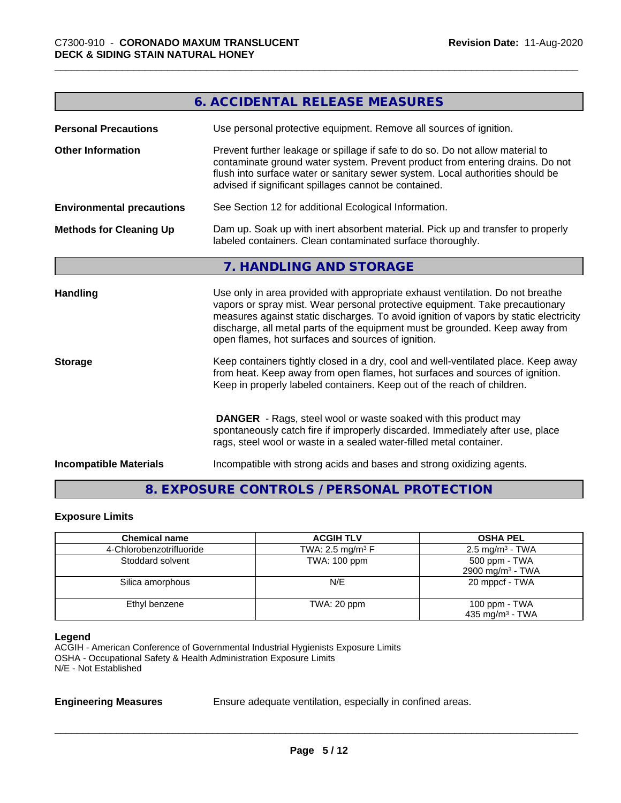|                                  | <b>6. ACCIDENTAL RELEASE MEASURES</b>                                                                                                                                                                                                                                                                                                                                                         |
|----------------------------------|-----------------------------------------------------------------------------------------------------------------------------------------------------------------------------------------------------------------------------------------------------------------------------------------------------------------------------------------------------------------------------------------------|
| <b>Personal Precautions</b>      | Use personal protective equipment. Remove all sources of ignition.                                                                                                                                                                                                                                                                                                                            |
| <b>Other Information</b>         | Prevent further leakage or spillage if safe to do so. Do not allow material to<br>contaminate ground water system. Prevent product from entering drains. Do not<br>flush into surface water or sanitary sewer system. Local authorities should be<br>advised if significant spillages cannot be contained.                                                                                    |
| <b>Environmental precautions</b> | See Section 12 for additional Ecological Information.                                                                                                                                                                                                                                                                                                                                         |
| <b>Methods for Cleaning Up</b>   | Dam up. Soak up with inert absorbent material. Pick up and transfer to properly<br>labeled containers. Clean contaminated surface thoroughly.                                                                                                                                                                                                                                                 |
|                                  | 7. HANDLING AND STORAGE                                                                                                                                                                                                                                                                                                                                                                       |
| <b>Handling</b>                  | Use only in area provided with appropriate exhaust ventilation. Do not breathe<br>vapors or spray mist. Wear personal protective equipment. Take precautionary<br>measures against static discharges. To avoid ignition of vapors by static electricity<br>discharge, all metal parts of the equipment must be grounded. Keep away from<br>open flames, hot surfaces and sources of ignition. |
| <b>Storage</b>                   | Keep containers tightly closed in a dry, cool and well-ventilated place. Keep away<br>from heat. Keep away from open flames, hot surfaces and sources of ignition.<br>Keep in properly labeled containers. Keep out of the reach of children.                                                                                                                                                 |
|                                  | <b>DANGER</b> - Rags, steel wool or waste soaked with this product may<br>spontaneously catch fire if improperly discarded. Immediately after use, place<br>rags, steel wool or waste in a sealed water-filled metal container.                                                                                                                                                               |
| <b>Incompatible Materials</b>    | Incompatible with strong acids and bases and strong oxidizing agents.                                                                                                                                                                                                                                                                                                                         |

### **8. EXPOSURE CONTROLS / PERSONAL PROTECTION**

#### **Exposure Limits**

| <b>Chemical name</b>     | <b>ACGIH TLV</b>               | <b>OSHA PEL</b>                                |
|--------------------------|--------------------------------|------------------------------------------------|
| 4-Chlorobenzotrifluoride | TWA: 2.5 mg/m <sup>3</sup> $F$ | $2.5 \text{ mg/m}^3$ - TWA                     |
| Stoddard solvent         | TWA: 100 ppm                   | 500 ppm - TWA<br>2900 mg/m <sup>3</sup> - TWA  |
| Silica amorphous         | N/E                            | 20 mppcf - TWA                                 |
| Ethyl benzene            | TWA: 20 ppm                    | 100 ppm $-$ TWA<br>435 mg/m <sup>3</sup> - TWA |

#### **Legend**

ACGIH - American Conference of Governmental Industrial Hygienists Exposure Limits OSHA - Occupational Safety & Health Administration Exposure Limits N/E - Not Established

**Engineering Measures** Ensure adequate ventilation, especially in confined areas.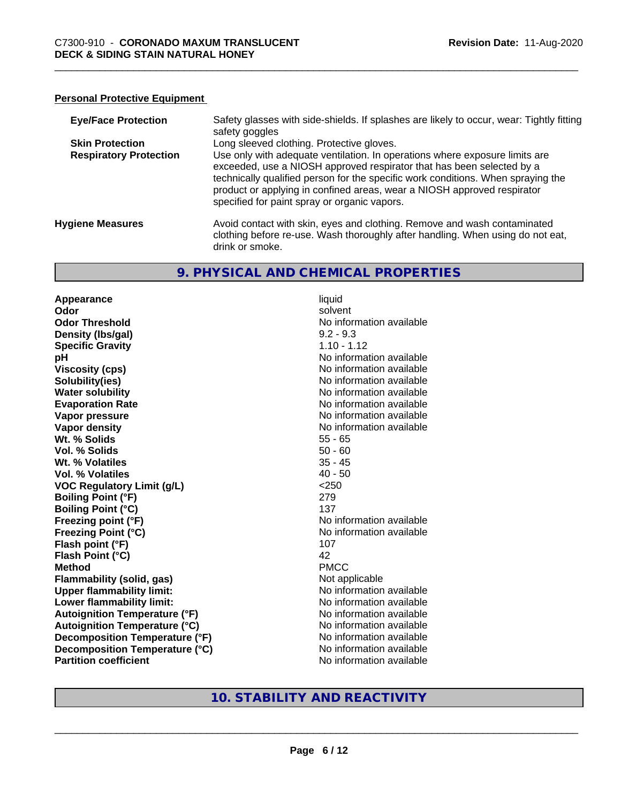#### **Personal Protective Equipment**

| <b>Eye/Face Protection</b>    | Safety glasses with side-shields. If splashes are likely to occur, wear: Tightly fitting<br>safety goggles                                                                                                                                                                                                                                                          |
|-------------------------------|---------------------------------------------------------------------------------------------------------------------------------------------------------------------------------------------------------------------------------------------------------------------------------------------------------------------------------------------------------------------|
| <b>Skin Protection</b>        | Long sleeved clothing. Protective gloves.                                                                                                                                                                                                                                                                                                                           |
| <b>Respiratory Protection</b> | Use only with adequate ventilation. In operations where exposure limits are<br>exceeded, use a NIOSH approved respirator that has been selected by a<br>technically qualified person for the specific work conditions. When spraying the<br>product or applying in confined areas, wear a NIOSH approved respirator<br>specified for paint spray or organic vapors. |
| <b>Hygiene Measures</b>       | Avoid contact with skin, eyes and clothing. Remove and wash contaminated<br>clothing before re-use. Wash thoroughly after handling. When using do not eat,<br>drink or smoke.                                                                                                                                                                                       |

#### **9. PHYSICAL AND CHEMICAL PROPERTIES**

**Appearance** liquid **Odor** solvent **Odor Threshold No information available No information available Density (lbs/gal)** 9.2 - 9.3 **Specific Gravity** 1.10 - 1.12 **pH** No information available **Viscosity (cps)** No information available Notice 1, 1999 **Solubility(ies)**<br> **Solubility**<br> **Water solubility**<br> **Water solubility Evaporation Rate No information available No information available Vapor pressure** No information available **Vapor density No information available No information available Wt. % Solids** 55 - 65 **Vol. % Solids** 50 - 60 **Wt. % Volatiles** 35 - 45 **Vol. % Volatiles** 40 - 50 **VOC Regulatory Limit (g/L)** <250 **Boiling Point (°F)** 279 **Boiling Point (°C)** 137 **Freezing point (°F)** No information available **Freezing Point (°C)** The Control of the Monometer of Noinformation available **Flash point (°F)** 107 **Flash Point (°C)** 42 **Method** PMCC **Flammability (solid, gas)** Not applicable **Upper flammability limit:** No information available **Lower flammability limit:**<br> **Autoignition Temperature (°F)** No information available **Autoignition Temperature (°F)**<br> **Autoignition Temperature (°C)** No information available **Autoignition Temperature (°C) Decomposition Temperature (°F)** No information available **Decomposition Temperature (°C)** No information available **Partition coefficient Community Contract Contract Contract Contract Contract Contract Contract Contract Contract Contract Contract Contract Contract Contract Contract Contract Contract Contract Contract Contract Contr** 

**No information available** 

#### **10. STABILITY AND REACTIVITY**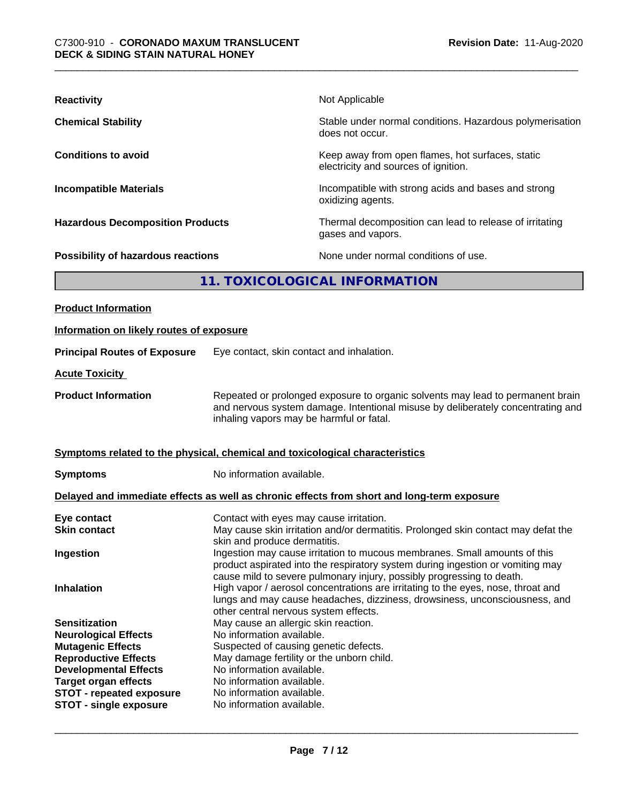| <b>Reactivity</b>                         | Not Applicable                                                                           |
|-------------------------------------------|------------------------------------------------------------------------------------------|
| <b>Chemical Stability</b>                 | Stable under normal conditions. Hazardous polymerisation<br>does not occur.              |
| <b>Conditions to avoid</b>                | Keep away from open flames, hot surfaces, static<br>electricity and sources of ignition. |
| <b>Incompatible Materials</b>             | Incompatible with strong acids and bases and strong<br>oxidizing agents.                 |
| <b>Hazardous Decomposition Products</b>   | Thermal decomposition can lead to release of irritating<br>gases and vapors.             |
| <b>Possibility of hazardous reactions</b> | None under normal conditions of use.                                                     |
| 11. TOXICOLOGICAL INFORMATION             |                                                                                          |
| <b>Product Information</b>                |                                                                                          |

| Information on likely routes of exposure                                                                                                                                                                                                          |                                                                                                                                                                                                                                                                                                                                                                                                                                                                                                                                                                        |
|---------------------------------------------------------------------------------------------------------------------------------------------------------------------------------------------------------------------------------------------------|------------------------------------------------------------------------------------------------------------------------------------------------------------------------------------------------------------------------------------------------------------------------------------------------------------------------------------------------------------------------------------------------------------------------------------------------------------------------------------------------------------------------------------------------------------------------|
| <b>Principal Routes of Exposure</b>                                                                                                                                                                                                               | Eye contact, skin contact and inhalation.                                                                                                                                                                                                                                                                                                                                                                                                                                                                                                                              |
| <b>Acute Toxicity</b>                                                                                                                                                                                                                             |                                                                                                                                                                                                                                                                                                                                                                                                                                                                                                                                                                        |
| <b>Product Information</b>                                                                                                                                                                                                                        | Repeated or prolonged exposure to organic solvents may lead to permanent brain<br>and nervous system damage. Intentional misuse by deliberately concentrating and<br>inhaling vapors may be harmful or fatal.                                                                                                                                                                                                                                                                                                                                                          |
|                                                                                                                                                                                                                                                   | Symptoms related to the physical, chemical and toxicological characteristics                                                                                                                                                                                                                                                                                                                                                                                                                                                                                           |
| <b>Symptoms</b>                                                                                                                                                                                                                                   | No information available.                                                                                                                                                                                                                                                                                                                                                                                                                                                                                                                                              |
|                                                                                                                                                                                                                                                   | Delayed and immediate effects as well as chronic effects from short and long-term exposure                                                                                                                                                                                                                                                                                                                                                                                                                                                                             |
| Eye contact<br><b>Skin contact</b><br>Ingestion<br><b>Inhalation</b>                                                                                                                                                                              | Contact with eyes may cause irritation.<br>May cause skin irritation and/or dermatitis. Prolonged skin contact may defat the<br>skin and produce dermatitis.<br>Ingestion may cause irritation to mucous membranes. Small amounts of this<br>product aspirated into the respiratory system during ingestion or vomiting may<br>cause mild to severe pulmonary injury, possibly progressing to death.<br>High vapor / aerosol concentrations are irritating to the eyes, nose, throat and<br>lungs and may cause headaches, dizziness, drowsiness, unconsciousness, and |
| <b>Sensitization</b><br><b>Neurological Effects</b><br><b>Mutagenic Effects</b><br><b>Reproductive Effects</b><br><b>Developmental Effects</b><br><b>Target organ effects</b><br><b>STOT - repeated exposure</b><br><b>STOT - single exposure</b> | other central nervous system effects.<br>May cause an allergic skin reaction.<br>No information available.<br>Suspected of causing genetic defects.<br>May damage fertility or the unborn child.<br>No information available.<br>No information available.<br>No information available.<br>No information available.                                                                                                                                                                                                                                                   |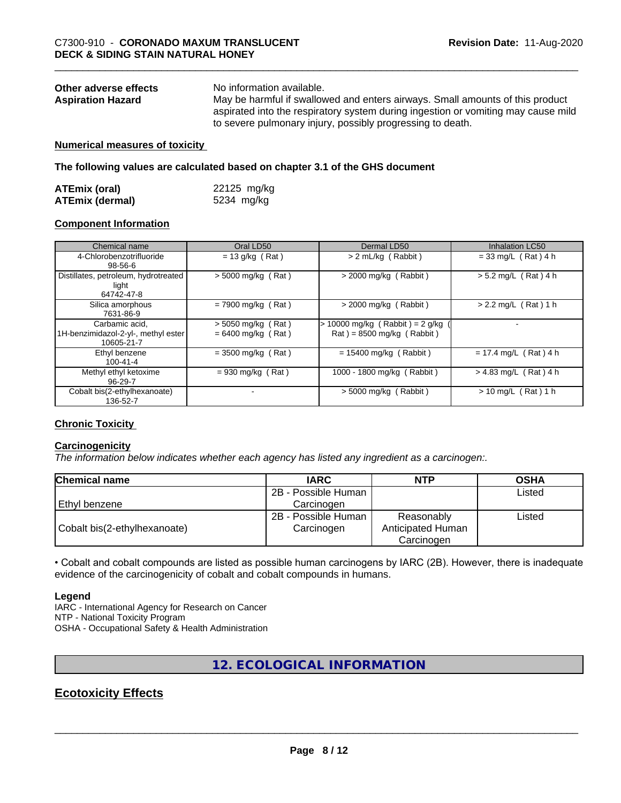| Other adverse effects    | No information available.                                                         |
|--------------------------|-----------------------------------------------------------------------------------|
| <b>Aspiration Hazard</b> | May be harmful if swallowed and enters airways. Small amounts of this product     |
|                          | aspirated into the respiratory system during ingestion or vomiting may cause mild |
|                          | to severe pulmonary injury, possibly progressing to death.                        |

#### **Numerical measures of toxicity**

**The following values are calculated based on chapter 3.1 of the GHS document**

| <b>ATEmix (oral)</b>   | 22125 mg/kg |
|------------------------|-------------|
| <b>ATEmix (dermal)</b> | 5234 mg/kg  |

#### **Component Information**

| Chemical name                                                       | Oral LD50                                    | Dermal LD50                                                      | <b>Inhalation LC50</b>  |
|---------------------------------------------------------------------|----------------------------------------------|------------------------------------------------------------------|-------------------------|
| 4-Chlorobenzotrifluoride<br>98-56-6                                 | $= 13$ g/kg (Rat)                            | > 2 mL/kg (Rabbit)                                               | $= 33$ mg/L (Rat) 4 h   |
| Distillates, petroleum, hydrotreated<br>light<br>64742-47-8         | $>$ 5000 mg/kg (Rat)                         | $>$ 2000 mg/kg (Rabbit)                                          | $> 5.2$ mg/L (Rat) 4 h  |
| Silica amorphous<br>7631-86-9                                       | $= 7900$ mg/kg (Rat)                         | $>$ 2000 mg/kg (Rabbit)                                          | $> 2.2$ mg/L (Rat) 1 h  |
| Carbamic acid,<br>1H-benzimidazol-2-yl-, methyl ester<br>10605-21-7 | $>$ 5050 mg/kg (Rat)<br>$= 6400$ mg/kg (Rat) | $> 10000$ mg/kg (Rabbit) = 2 g/kg<br>$Rat$ = 8500 mg/kg (Rabbit) |                         |
| Ethyl benzene<br>$100 - 41 - 4$                                     | $= 3500$ mg/kg (Rat)                         | $= 15400$ mg/kg (Rabbit)                                         | $= 17.4$ mg/L (Rat) 4 h |
| Methyl ethyl ketoxime<br>96-29-7                                    | $= 930$ mg/kg (Rat)                          | 1000 - 1800 mg/kg (Rabbit)                                       | $> 4.83$ mg/L (Rat) 4 h |
| Cobalt bis(2-ethylhexanoate)<br>136-52-7                            |                                              | $>$ 5000 mg/kg (Rabbit)                                          | $> 10$ mg/L (Rat) 1 h   |

#### **Chronic Toxicity**

#### **Carcinogenicity**

*The information below indicateswhether each agency has listed any ingredient as a carcinogen:.*

| <b>Chemical name</b>         | <b>IARC</b>         | <b>NTP</b>        | <b>OSHA</b> |
|------------------------------|---------------------|-------------------|-------------|
|                              | 2B - Possible Human |                   | Listed      |
| l Ethvl benzene              | Carcinoɑen          |                   |             |
|                              | 2B - Possible Human | Reasonably        | Listed      |
| Cobalt bis(2-ethylhexanoate) | Carcinogen          | Anticipated Human |             |
|                              |                     | Carcinogen        |             |

• Cobalt and cobalt compounds are listed as possible human carcinogens by IARC (2B). However, there is inadequate evidence of the carcinogenicity of cobalt and cobalt compounds in humans.

#### **Legend**

IARC - International Agency for Research on Cancer NTP - National Toxicity Program OSHA - Occupational Safety & Health Administration

#### **12. ECOLOGICAL INFORMATION**

### **Ecotoxicity Effects**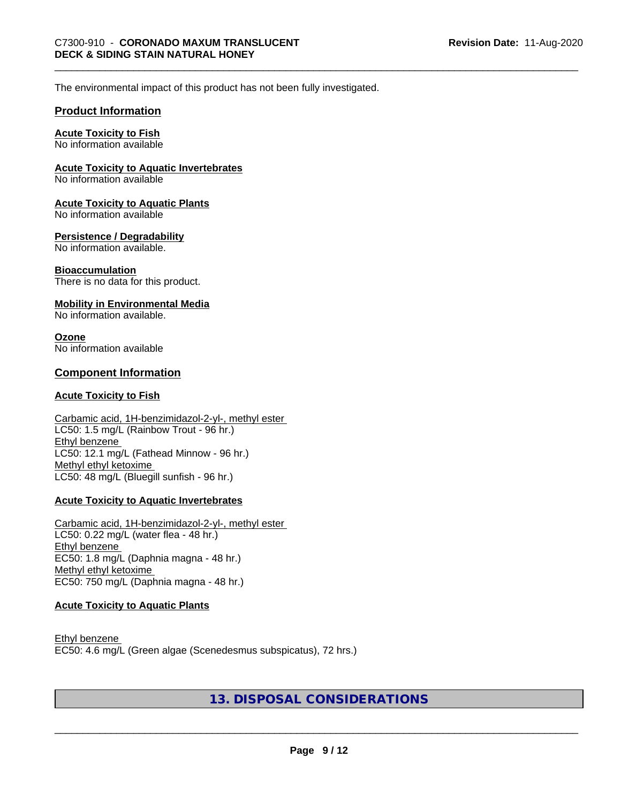The environmental impact of this product has not been fully investigated.

#### **Product Information**

#### **Acute Toxicity to Fish**

No information available

#### **Acute Toxicity to Aquatic Invertebrates**

No information available

#### **Acute Toxicity to Aquatic Plants**

No information available

#### **Persistence / Degradability**

No information available.

#### **Bioaccumulation**

There is no data for this product.

#### **Mobility in Environmental Media**

No information available.

#### **Ozone**

No information available

#### **Component Information**

#### **Acute Toxicity to Fish**

#### Carbamic acid, 1H-benzimidazol-2-yl-, methyl ester LC50: 1.5 mg/L (Rainbow Trout - 96 hr.) Ethyl benzene LC50: 12.1 mg/L (Fathead Minnow - 96 hr.) Methyl ethyl ketoxime LC50: 48 mg/L (Bluegill sunfish - 96 hr.)

#### **Acute Toxicity to Aquatic Invertebrates**

Carbamic acid, 1H-benzimidazol-2-yl-, methyl ester LC50: 0.22 mg/L (water flea - 48 hr.) Ethyl benzene EC50: 1.8 mg/L (Daphnia magna - 48 hr.) Methyl ethyl ketoxime EC50: 750 mg/L (Daphnia magna - 48 hr.)

#### **Acute Toxicity to Aquatic Plants**

Ethyl benzene EC50: 4.6 mg/L (Green algae (Scenedesmus subspicatus), 72 hrs.)

#### **13. DISPOSAL CONSIDERATIONS**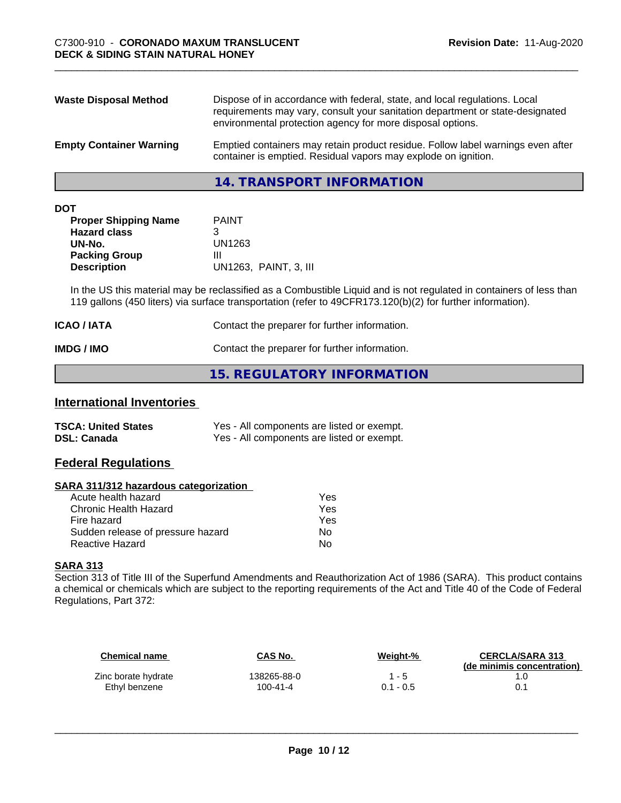| <b>Waste Disposal Method</b>   | Dispose of in accordance with federal, state, and local regulations. Local<br>requirements may vary, consult your sanitation department or state-designated<br>environmental protection agency for more disposal options. |
|--------------------------------|---------------------------------------------------------------------------------------------------------------------------------------------------------------------------------------------------------------------------|
| <b>Empty Container Warning</b> | Emptied containers may retain product residue. Follow label warnings even after<br>container is emptied. Residual vapors may explode on ignition.                                                                         |

**14. TRANSPORT INFORMATION**

| ۰. | ×<br>٠ |  |
|----|--------|--|

| <b>PAINT</b>          |
|-----------------------|
|                       |
| UN1263                |
| Ш                     |
| UN1263, PAINT, 3, III |
|                       |

In the US this material may be reclassified as a Combustible Liquid and is not regulated in containers of less than 119 gallons (450 liters) via surface transportation (refer to 49CFR173.120(b)(2) for further information).

| <b>ICAO / IATA</b> | Contact the preparer for further information. |
|--------------------|-----------------------------------------------|
| IMDG / IMO         | Contact the preparer for further information. |

#### **15. REGULATORY INFORMATION**

#### **International Inventories**

| <b>TSCA: United States</b> | Yes - All components are listed or exempt. |
|----------------------------|--------------------------------------------|
| <b>DSL: Canada</b>         | Yes - All components are listed or exempt. |

#### **Federal Regulations**

#### **SARA 311/312 hazardous categorization**

| Yes |
|-----|
| Yes |
| Yes |
| Nο  |
| N٥  |
|     |

#### **SARA 313**

Section 313 of Title III of the Superfund Amendments and Reauthorization Act of 1986 (SARA). This product contains a chemical or chemicals which are subject to the reporting requirements of the Act and Title 40 of the Code of Federal Regulations, Part 372:

| Chemical name       | CAS No.     | Weight-%    | <b>CERCLA/SARA 313</b><br>(de minimis concentration) |
|---------------------|-------------|-------------|------------------------------------------------------|
| Zinc borate hydrate | 138265-88-0 | $1 - 5$     |                                                      |
| Ethyl benzene       | 100-41-4    | $0.1 - 0.5$ |                                                      |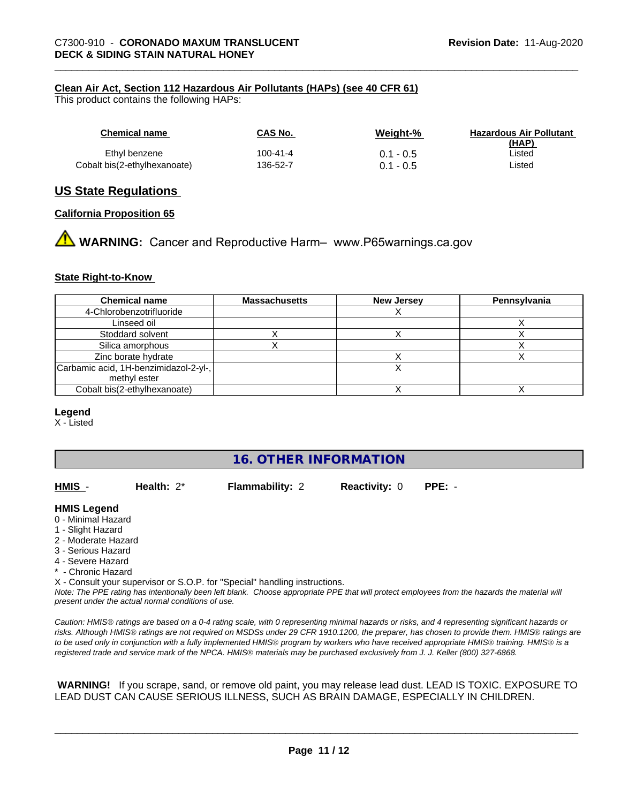#### **Clean Air Act,Section 112 Hazardous Air Pollutants (HAPs) (see 40 CFR 61)**

This product contains the following HAPs:

| Chemical name                | CAS No.  | Weight-%    | <b>Hazardous Air Pollutant</b><br>(HAP) |
|------------------------------|----------|-------------|-----------------------------------------|
| Ethyl benzene                | 100-41-4 | $0.1 - 0.5$ | ∟isted                                  |
| Cobalt bis(2-ethylhexanoate) | 136-52-7 | $0.1 - 0.5$ | Listed                                  |

#### **US State Regulations**

#### **California Proposition 65**

**WARNING:** Cancer and Reproductive Harm– www.P65warnings.ca.gov

#### **State Right-to-Know**

| <b>Chemical name</b>                  | <b>Massachusetts</b> | <b>New Jersey</b> | Pennsylvania |
|---------------------------------------|----------------------|-------------------|--------------|
| 4-Chlorobenzotrifluoride              |                      |                   |              |
| Linseed oil                           |                      |                   |              |
| Stoddard solvent                      |                      |                   |              |
| Silica amorphous                      |                      |                   |              |
| Zinc borate hydrate                   |                      |                   |              |
| Carbamic acid, 1H-benzimidazol-2-yl-, |                      |                   |              |
| methyl ester                          |                      |                   |              |
| Cobalt bis(2-ethylhexanoate)          |                      |                   |              |

#### **Legend**

X - Listed

#### **16. OTHER INFORMATION**

**HMIS** - **Health:** 2\* **Flammability:** 2 **Reactivity:** 0 **PPE:** -

#### **HMIS Legend**

- 0 Minimal Hazard
- 1 Slight Hazard
- 2 Moderate Hazard
- 3 Serious Hazard
- 4 Severe Hazard
- \* Chronic Hazard

X - Consult your supervisor or S.O.P. for "Special" handling instructions.

*Note: The PPE rating has intentionally been left blank. Choose appropriate PPE that will protect employees from the hazards the material will present under the actual normal conditions of use.*

*Caution: HMISÒ ratings are based on a 0-4 rating scale, with 0 representing minimal hazards or risks, and 4 representing significant hazards or risks. Although HMISÒ ratings are not required on MSDSs under 29 CFR 1910.1200, the preparer, has chosen to provide them. HMISÒ ratings are to be used only in conjunction with a fully implemented HMISÒ program by workers who have received appropriate HMISÒ training. HMISÒ is a registered trade and service mark of the NPCA. HMISÒ materials may be purchased exclusively from J. J. Keller (800) 327-6868.*

 **WARNING!** If you scrape, sand, or remove old paint, you may release lead dust. LEAD IS TOXIC. EXPOSURE TO LEAD DUST CAN CAUSE SERIOUS ILLNESS, SUCH AS BRAIN DAMAGE, ESPECIALLY IN CHILDREN.